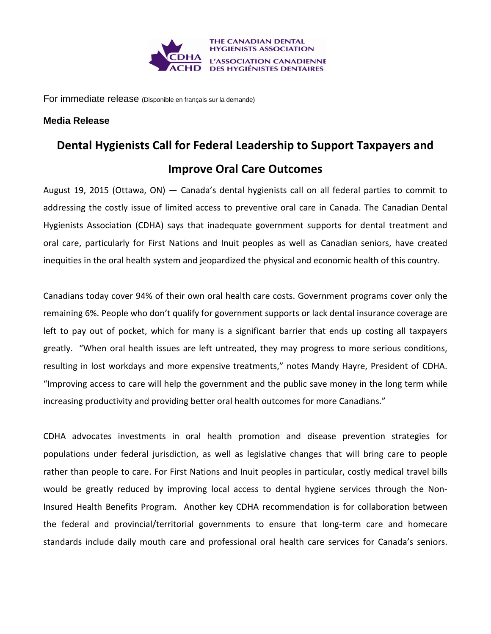

For immediate release (Disponible en français sur la demande)

## **Media Release**

## **Dental Hygienists Call for Federal Leadership to Support Taxpayers and Improve Oral Care Outcomes**

August 19, 2015 (Ottawa, ON) — Canada's dental hygienists call on all federal parties to commit to addressing the costly issue of limited access to preventive oral care in Canada. The Canadian Dental Hygienists Association (CDHA) says that inadequate government supports for dental treatment and oral care, particularly for First Nations and Inuit peoples as well as Canadian seniors, have created inequities in the oral health system and jeopardized the physical and economic health of this country.

Canadians today cover 94% of their own oral health care costs. Government programs cover only the remaining 6%. People who don't qualify for government supports or lack dental insurance coverage are left to pay out of pocket, which for many is a significant barrier that ends up costing all taxpayers greatly. "When oral health issues are left untreated, they may progress to more serious conditions, resulting in lost workdays and more expensive treatments," notes Mandy Hayre, President of CDHA. "Improving access to care will help the government and the public save money in the long term while increasing productivity and providing better oral health outcomes for more Canadians."

CDHA advocates investments in oral health promotion and disease prevention strategies for populations under federal jurisdiction, as well as legislative changes that will bring care to people rather than people to care. For First Nations and Inuit peoples in particular, costly medical travel bills would be greatly reduced by improving local access to dental hygiene services through the Non-Insured Health Benefits Program. Another key CDHA recommendation is for collaboration between the federal and provincial/territorial governments to ensure that long-term care and homecare standards include daily mouth care and professional oral health care services for Canada's seniors.